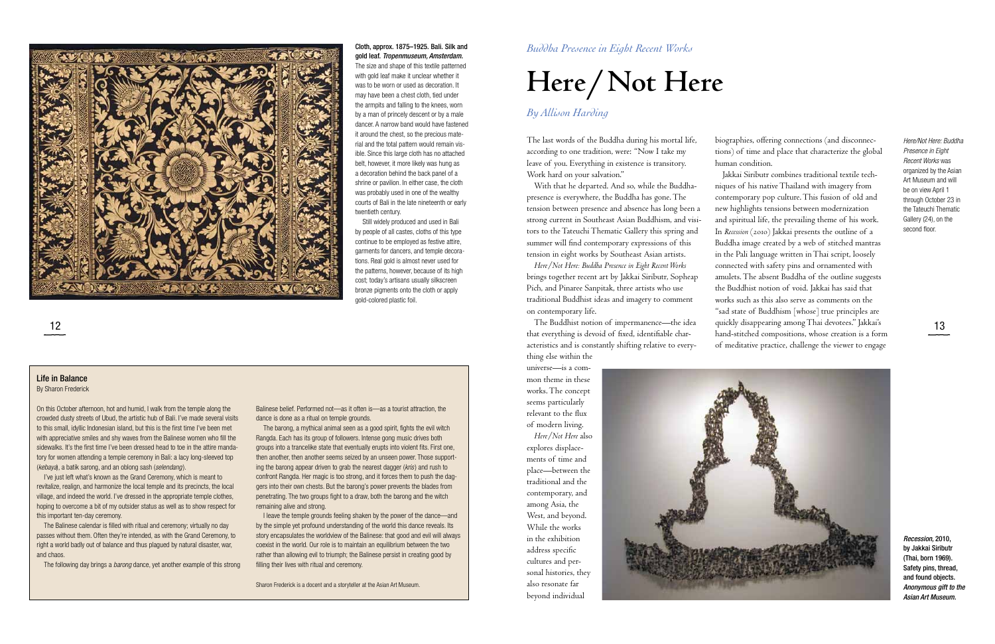The last words of the Buddha during his mortal life, according to one tradition, were: "Now I take my leave of you. Everything in existence is transitory. Work hard on your salvation."

With that he departed. And so, while the Buddhapresence is everywhere, the Buddha has gone. The tension between presence and absence has long been a strong current in Southeast Asian Buddhism, and visitors to the Tateuchi Thematic Gallery this spring and summer will find contemporary expressions of this tension in eight works by Southeast Asian artists.

The Buddhist notion of impermanence—the idea quickly disappearing among Thai devotees." Jakkai's **13** The Buddhist notion of impermanence—the idea that everything is devoid of fixed, identifiable characteristics and is constantly shifting relative to everything else within the

*Here/Not Here: Buddha Presence in Eight Recent Works* brings together recent art by Jakkai Siributr, Sopheap Pich, and Pinaree Sanpitak, three artists who use traditional Buddhist ideas and imagery to comment on contemporary life.

universe—is a common theme in these works. The concept seems particularly relevant to the flux of modern living.

*Here/Not Here* also explores displacements of time and place—between the traditional and the contemporary, and among Asia, the West, and beyond. While the works in the exhibition address specific cultures and personal histories, they also resonate far beyond individual



biographies, offering connections (and disconnections) of time and place that characterize the global human condition.

Jakkai Siributr combines traditional textile techniques of his native Thailand with imagery from contemporary pop culture. This fusion of old and new highlights tensions between modernization and spiritual life, the prevailing theme of his work. In *Recession* (2010) Jakkai presents the outline of a Buddha image created by a web of stitched mantras in the Pali language written in Thai script, loosely connected with safety pins and ornamented with amulets. The absent Buddha of the outline suggests the Buddhist notion of void. Jakkai has said that works such as this also serve as comments on the "sad state of Buddhism [whose] true principles are hand-stitched compositions, whose creation is a form of meditative practice, challenge the viewer to engage



### Cloth, approx. 1875–1925. Bali. Silk and gold leaf. *Tropenmuseum, Amsterdam*.

The size and shape of this textile patterned with gold leaf make it unclear whether it was to be worn or used as decoration. It may have been a chest cloth, tied under the armpits and falling to the knees, worn by a man of princely descent or by a male dancer. A narrow band would have fastened it around the chest, so the precious material and the total pattern would remain visible. Since this large cloth has no attached belt, however, it more likely was hung as a decoration behind the back panel of a shrine or pavilion. In either case, the cloth was probably used in one of the wealthy courts of Bali in the late nineteenth or early twentieth century.

Still widely produced and used in Bali by people of all castes, cloths of this type continue to be employed as festive attire, garments for dancers, and temple decorations. Real gold is almost never used for the patterns, however, because of its high cost; today's artisans usually silkscreen bronze pigments onto the cloth or apply gold-colored plastic foil.

### *By Allison Harding*

### *Buddha Presence in Eight Recent Works*

# **Here/Not Here**

*Here/Not Here: Buddha Presence in Eight Recent Works* was organized by the Asian Art Museum and will be on view April 1 through October 23 in the Tateuchi Thematic Gallery (24), on the second floor.

*Recession,* 2010, by Jakkai Siributr (Thai, born 1969). Safety pins, thread, and found objects. *Anonymous gift to the Asian Art Museum.*

### Life in Balance

#### By Sharon Frederick

On this October afternoon, hot and humid, I walk from the temple along the crowded dusty streets of Ubud, the artistic hub of Bali. I've made several visits to this small, idyllic Indonesian island, but this is the first time I've been met with appreciative smiles and shy waves from the Balinese women who fill the sidewalks. It's the first time I've been dressed head to toe in the attire mandatory for women attending a temple ceremony in Bali: a lacy long-sleeved top (*kebaya*), a batik sarong, and an oblong sash (*selendang* ).

I've just left what's known as the Grand Ceremony, which is meant to revitalize, realign, and harmonize the local temple and its precincts, the local village, and indeed the world. I've dressed in the appropriate temple clothes, hoping to overcome a bit of my outsider status as well as to show respect for this important ten-day ceremony.

The Balinese calendar is filled with ritual and ceremony; virtually no day passes without them. Often they're intended, as with the Grand Ceremony, to right a world badly out of balance and thus plagued by natural disaster, war, and chaos.

The following day brings a *barong* dance, yet another example of this strong

Balinese belief. Performed not—as it often is—as a tourist attraction, the dance is done as a ritual on temple grounds.

The barong, a mythical animal seen as a good spirit, fights the evil witch Rangda. Each has its group of followers. Intense gong music drives both groups into a trancelike state that eventually erupts into violent fits. First one, then another, then another seems seized by an unseen power. Those supporting the barong appear driven to grab the nearest dagger (*kris*) and rush to confront Rangda. Her magic is too strong, and it forces them to push the daggers into their own chests. But the barong's power prevents the blades from penetrating. The two groups fight to a draw, both the barong and the witch remaining alive and strong.

I leave the temple grounds feeling shaken by the power of the dance—and by the simple yet profound understanding of the world this dance reveals. Its story encapsulates the worldview of the Balinese: that good and evil will always coexist in the world. Our role is to maintain an equilibrium between the two rather than allowing evil to triumph; the Balinese persist in creating good by filling their lives with ritual and ceremony.

Sharon Frederick is a docent and a storyteller at the Asian Art Museum.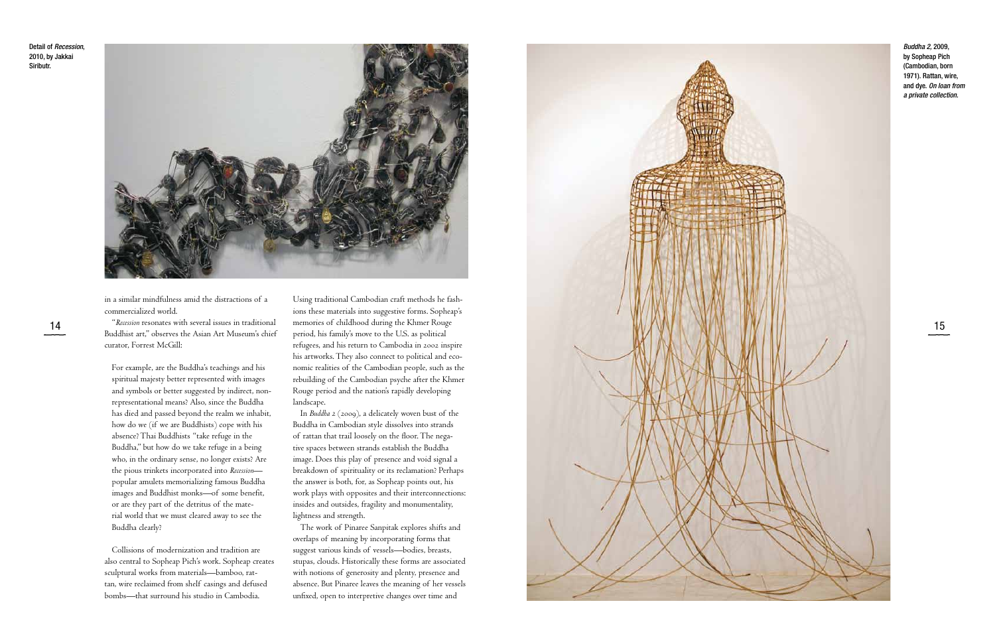

in a similar mindfulness amid the distractions of a commercialized world.

"*Recession* resonates with several issues in traditional Buddhist art," observes the Asian Art Museum's chief curator, Forrest McGill:

For example, are the Buddha's teachings and his spiritual majesty better represented with images and symbols or better suggested by indirect, non representational means? Also, since the Buddha has died and passed beyond the realm we inhabit, how do we (if we are Buddhists) cope with his absence? Thai Buddhists "take refuge in the Buddha," but how do we take refuge in a being who, in the ordinary sense, no longer exists? Are the pious trinkets incorporated into *Recession* popular amulets memorializing famous Buddha images and Buddhist monks—of some benefit, or are they part of the detritus of the mate rial world that we must cleared away to see the Buddha clearly?

Collisions of modernization and tradition are also central to Sopheap Pich's work. Sopheap creates sculptural works from materials—bamboo, rat tan, wire reclaimed from shelf casings and defused bombs—that surround his studio in Cambodia.

Using traditional Cambodian craft methods he fash ions these materials into suggestive forms. Sopheap's memories of childhood during the Khmer Rouge period, his family's move to the U.S. as political refugees, and his return to Cambodia in 2002 inspire his artworks. They also connect to political and eco nomic realities of the Cambodian people, such as the rebuilding of the Cambodian psyche after the Khmer Rouge period and the nation's rapidly developing landscape.

In *Buddha 2* (2009), a delicately woven bust of the Buddha in Cambodian style dissolves into strands of rattan that trail loosely on the floor. The nega tive spaces between strands establish the Buddha image. Does this play of presence and void signal a breakdown of spirituality or its reclamation? Perhaps the answer is both, for, as Sopheap points out, his work plays with opposites and their interconnections: insides and outsides, fragility and monumentality, lightness and strength.

The work of Pinaree Sanpitak explores shifts and overlaps of meaning by incorporating forms that suggest various kinds of vessels—bodies, breasts, stupas, clouds. Historically these forms are associated with notions of generosity and plenty, presence and absence. But Pinaree leaves the meaning of her vessels unfixed, open to interpretive changes over time and

*Buddha 2,* 2009, by Sopheap Pich (Cambodian, born 1971). Rattan, wire, and dye. *On loan from a private collection.*

Detail of *Recession*, 2010, by Jakkai Siributr.